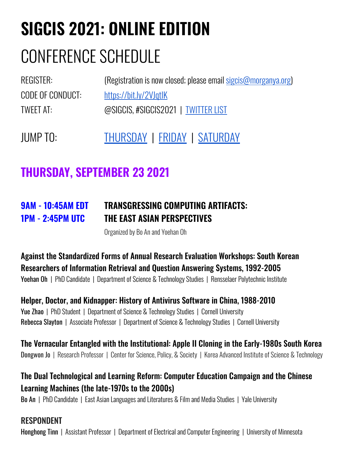# **SIGCIS 2021: ONLINE EDITION**

# CONFERENCE SCHEDULE

| REGISTER:        | (Registration is now closed; please email sigcis@morganya.org) |
|------------------|----------------------------------------------------------------|
| CODE OF CONDUCT: | https://bit.ly/2VJqtlK                                         |
| TWEET AT:        | @SIGCIS, #SIGCIS2021   TWITTER LIST                            |
|                  |                                                                |

JUMP TO: [THURSDAY](#page-0-0) | [FRIDAY](#page-3-0) | [SATURDAY](#page-6-0)

# **THURSDAY, SEPTEMBER 23 2021**

### <span id="page-0-0"></span>**9AM - 10:45AM EDT TRANSGRESSING COMPUTING ARTIFACTS: 1PM - 2:45PM UTC THE EAST ASIAN PERSPECTIVES**

Organized by Bo An and Yoehan Oh

Against the Standardized Forms of Annual Research Evaluation Workshops: South Korean Researchers of Information Retrieval and Question Answering Systems, 1992-2005 Yoehan Oh | PhD Candidate | Department of Science & Technology Studies | Rensselaer Polytechnic Institute

Helper, Doctor, and Kidnapper: History of Antivirus Software in China, 1988-2010 Yue Zhao | PhD Student | Department of Science & Technology Studies | Cornell University Rebecca Slayton | Associate Professor | Department of Science & Technology Studies | Cornell University

The Vernacular Entangled with the Institutional: Apple II Cloning in the Early-1980s South Korea Dongwon Jo | Research Professor | Center for Science, Policy, & Society | Korea Advanced Institute of Science & Technology

#### The Dual Technological and Learning Reform: Computer Education Campaign and the Chinese Learning Machines (the late-1970s to the 2000s)

Bo An | PhD Candidate | East Asian Languages and Literatures & Film and Media Studies | Yale University

#### **RESPONDENT**

Honghong Tinn | Assistant Professor | Department of Electrical and Computer Engineering | University of Minnesota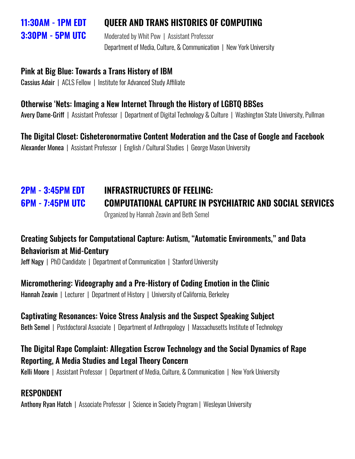#### **11:30AM - 1PM EDT QUEER AND TRANS HISTORIES OF COMPUTING**

**3:30PM - 5PM UTC** Moderated by Whit Pow | Assistant Professor Department of Media, Culture, & Communication | New York University

#### Pink at Big Blue: Towards a Trans History of IBM

Cassius Adair | ACLS Fellow | Institute for Advanced Study Affiliate

#### Otherwise 'Nets: Imaging a New Internet Through the History of LGBTQ BBSes

Avery Dame-Griff | Assistant Professor | Department of Digital Technology & Culture | Washington State University, Pullman

#### The Digital Closet: Cisheteronormative Content Moderation and the Case of Google and Facebook

Alexander Monea | Assistant Professor | English / Cultural Studies | George Mason University

# **2PM - 3:45PM EDT INFRASTRUCTURES OF FEELING: 6PM - 7:45PM UTC COMPUTATIONAL CAPTURE IN PSYCHIATRIC AND SOCIAL SERVICES**

Organized by Hannah Zeavin and Beth Semel

#### Creating Subjects for Computational Capture: Autism, "Automatic Environments," and Data Behaviorism at Mid-Century

**Jeff Nagy** | PhD Candidate | Department of Communication | Stanford University

#### Micromothering: Videography and a Pre-History of Coding Emotion in the Clinic

Hannah Zeavin | Lecturer | Department of History | University of California, Berkeley

#### Captivating Resonances: Voice Stress Analysis and the Suspect Speaking Subject

Beth Semel | Postdoctoral Associate | Department of Anthropology | Massachusetts Institute of Technology

#### The Digital Rape Complaint: Allegation Escrow Technology and the Social Dynamics of Rape Reporting, A Media Studies and Legal Theory Concern

Kelli Moore | Assistant Professor | Department of Media, Culture, & Communication | New York University

#### RESPONDENT

Anthony Ryan Hatch | Associate Professor | Science in Society Program | Wesleyan University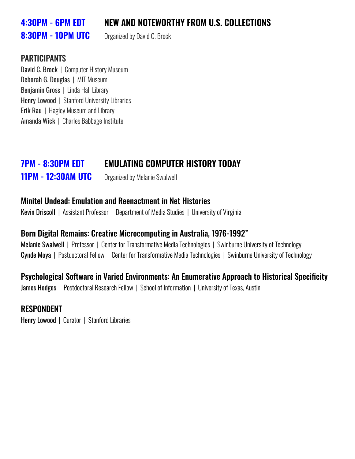#### **4:30PM - 6PM EDT NEW AND NOTEWORTHY FROM U.S. COLLECTIONS**

# **8:30PM - 10PM UTC** Organized by David C. Brock

#### PARTICIPANTS

David C. Brock | Computer History Museum Deborah G. Douglas | MIT Museum Benjamin Gross | Linda Hall Library Henry Lowood | Stanford University Libraries Erik Rau | Hagley Museum and Library Amanda Wick | Charles Babbage Institute

### **7PM - 8:30PM EDT EMULATING COMPUTER HISTORY TODAY**

**11PM - 12:30AM UTC** Organized by Melanie Swalwell

#### Minitel Undead: Emulation and Reenactment in Net Histories

Kevin Driscoll | Assistant Professor | Department of Media Studies | University of Virginia

#### Born Digital Remains: Creative Microcomputing in Australia, 1976-1992"

Melanie Swalwell | Professor | Center for Transformative Media Technologies | Swinburne University of Technology Cynde Moya | Postdoctoral Fellow | Center for Transformative Media Technologies | Swinburne University of Technology

#### Psychological Software in Varied Environments: An Enumerative Approach to Historical Specificity

James Hodges | Postdoctoral Research Fellow | School of Information | University of Texas, Austin

#### RESPONDENT

Henry Lowood | Curator | Stanford Libraries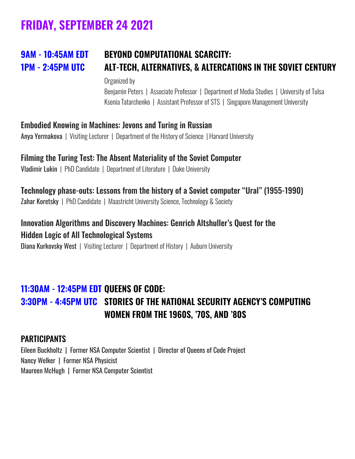# **FRIDAY, SEPTEMBER 24 2021**

## <span id="page-3-0"></span>**9AM - 10:45AM EDT BEYOND COMPUTATIONAL SCARCITY: 1PM - 2:45PM UTC ALT-TECH, ALTERNATIVES, & ALTERCATIONS IN THE SOVIET CENTURY**

Organized by

Benjamin Peters | Associate Professor | Department of Media Studies | University of Tulsa Ksenia Tatarchenko | Assistant Professor of STS | Singapore Management University

#### Embodied Knowing in Machines: Jevons and Turing in Russian

Anya Yermakova | Visiting Lecturer | Department of the History of Science | Harvard University

#### Filming the Turing Test: The Absent Materiality of the Soviet Computer

Vladimir Lukin | PhD Candidate | Department of Literature | Duke University

#### Technology phase-outs: Lessons from the history of a Soviet computer "Ural" (1955-1990)

Zahar Koretsky | PhD Candidate | Maastricht University Science, Technology & Society

#### Innovation Algorithms and Discovery Machines: Genrich Altshuller's Quest for the Hidden Logic of All Technological Systems

Diana Kurkovsky West | Visiting Lecturer | Department of History | Auburn University

#### **11:30AM - 12:45PM EDT QUEENS OF CODE: 3:30PM - 4:45PM UTC STORIES OF THE NATIONAL SECURITY AGENCY'S COMPUTING WOMEN FROM THE 1960S, '70S, AND '80S**

#### PARTICIPANTS

Eileen Buckholtz | Former NSA Computer Scientist | Director of Queens of Code Project Nancy Welker | Former NSA Physicist Maureen McHugh | Former NSA Computer Scientist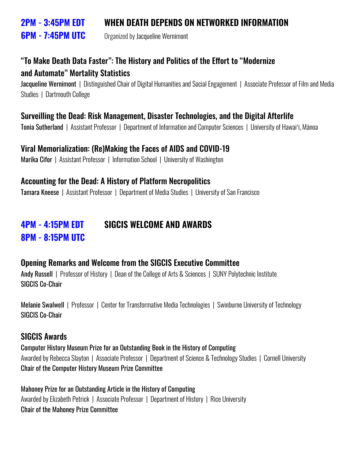#### **2PM - 3:45PM EDT WHEN DEATH DEPENDS ON NETWORKED INFORMATION**

**6PM - 7:45PM UTC** Organized by Jacqueline Wernimont

#### "To Make Death Data Faster": The History and Politics of the Effort to "Modernize and Automate" Mortality Statistics

Jacqueline Wernimont | Distinguished Chair of Digital Humanities and Social Engagement | Associate Professor of Film and Media Studies | Dartmouth College

#### Surveilling the Dead: Risk Management, Disaster Technologies, and the Digital Afterlife

Tonia Sutherland | Assistant Professor | Department of Information and Computer Sciences | University of Hawaiʻi, Mānoa

#### Viral Memorialization: (Re)Making the Faces of AIDS and COVID-19

Marika Cifor | Assistant Professor | Information School | University of Washington

#### Accounting for the Dead: A History of Platform Necropolitics

Tamara Kneese | Assistant Professor | Department of Media Studies | University of San Francisco

#### **4PM - 4:15PM EDT SIGCIS WELCOME AND AWARDS 8PM - 8:15PM UTC**

#### Opening Remarks and Welcome from the SIGCIS Executive Committee

Andy Russell | Professor of History | Dean of the College of Arts & Sciences | SUNY Polytechnic Institute SIGCIS Co-Chair

Melanie Swalwell | Professor | Center for Transformative Media Technologies | Swinburne University of Technology SIGCIS Co-Chair

#### SIGCIS Awards

Computer History Museum Prize for an Outstanding Book in the History of Computing Awarded by Rebecca Slayton | Associate Professor | Department of Science & Technology Studies | Cornell University Chair of the Computer History Museum Prize Committee

Mahoney Prize for an Outstanding Article in the History of Computing Awarded by Elizabeth Petrick | Associate Professor | Department of History | Rice University Chair of the Mahoney Prize Committee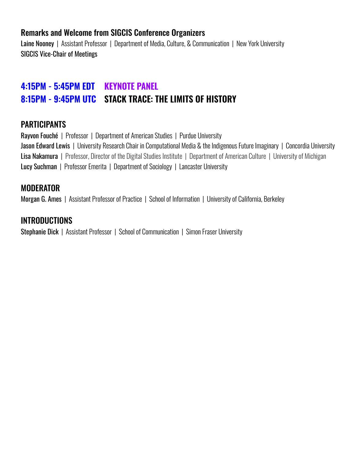#### Remarks and Welcome from SIGCIS Conference Organizers

Laine Nooney | Assistant Professor | Department of Media, Culture, & Communication | New York University SIGCIS Vice-Chair of Meetings

#### **4:15PM - 5:45PM EDT KEYNOTE PANEL 8:15PM - 9:45PM UTC STACK TRACE: THE LIMITS OF HISTORY**

#### PARTICIPANTS

Rayvon Fouché | Professor | Department of American Studies | Purdue University Jason Edward Lewis | University Research Chair in Computational Media & the Indigenous Future Imaginary | Concordia University Lisa Nakamura | Professor, Director of the Digital Studies Institute | Department of American Culture | University of Michigan Lucy Suchman | Professor Emerita | Department of Sociology | Lancaster University

#### MODERATOR

Morgan G. Ames | Assistant Professor of Practice | School of Information | University of California, Berkeley

#### INTRODUCTIONS

Stephanie Dick | Assistant Professor | School of Communication | Simon Fraser University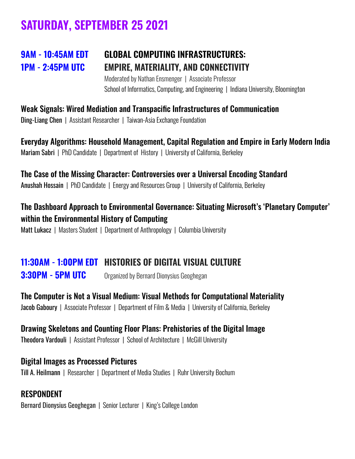# **SATURDAY, SEPTEMBER 25 2021**

### <span id="page-6-0"></span>**9AM - 10:45AM EDT GLOBAL COMPUTING INFRASTRUCTURES: 1PM - 2:45PM UTC EMPIRE, MATERIALITY, AND CONNECTIVITY**

Moderated by Nathan Ensmenger | Associate Professor School of Informatics, Computing, and Engineering | Indiana University, Bloomington

Weak Signals: Wired Mediation and Transpacific Infrastructures of Communication Ding-Liang Chen | Assistant Researcher | Taiwan-Asia Exchange Foundation

Everyday Algorithms: Household Management, Capital Regulation and Empire in Early Modern India Mariam Sabri | PhD Candidate | Department of History | University of California, Berkeley

The Case of the Missing Character: Controversies over a Universal Encoding Standard Anushah Hossain | PhD Candidate | Energy and Resources Group | University of California, Berkeley

The Dashboard Approach to Environmental Governance: Situating Microsoft's 'Planetary Computer' within the Environmental History of Computing Matt Lukacz | Masters Student | Department of Anthropology | Columbia University

## **11:30AM - 1:00PM EDT HISTORIES OF DIGITAL VISUAL CULTURE**

**3:30PM - 5PM UTC** Organized by Bernard Dionysius Geoghegan

The Computer is Not a Visual Medium: Visual Methods for Computational Materiality Jacob Gaboury | Associate Professor | Department of Film & Media | University of California, Berkeley

#### Drawing Skeletons and Counting Floor Plans: Prehistories of the Digital Image

Theodora Vardouli | Assistant Professor | School of Architecture | McGill University

Digital Images as Processed Pictures Till A. Heilmann | Researcher | [Department](https://ifm.blogs.ruhr-uni-bochum.de/index.php/english-version/) of Media Studies | Ruhr [University](https://www.ruhr-uni-bochum.de/en) Bochum

#### **RESPONDENT**

Bernard Dionysius Geoghegan | Senior Lecturer | King's College London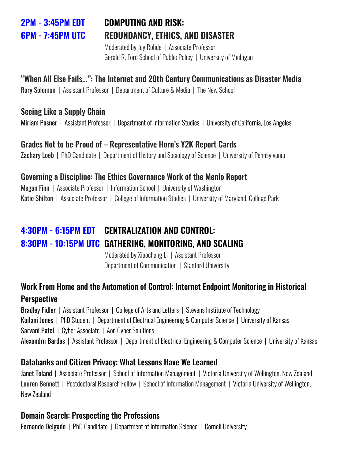### **2PM - 3:45PM EDT COMPUTING AND RISK: 6PM - 7:45PM UTC REDUNDANCY, ETHICS, AND DISASTER**

Moderated by Joy Rohde | Associate Professor Gerald R. Ford School of Public Policy | University of Michigan

#### "When All Else Fails...": The Internet and 20th Century Communications as Disaster Media

Rory Solomon | Assistant Professor | Department of Culture & Media | The New School

#### Seeing Like a Supply Chain

Miriam Posner | Assistant Professor | Department of Information Studies | University of California, Los Angeles

#### Grades Not to be Proud of – Representative Horn's Y2K Report Cards

Zachary Loeb | PhD Candidate | Department of History and Sociology of Science | University of Pennsylvania

#### Governing a Discipline: The Ethics Governance Work of the Menlo Report

Megan Finn | Associate Professor | Information School | University of Washington Katie Shilton | Associate Professor | College of Information Studies | University of Maryland, College Park

### **4:30PM - 6:15PM EDT CENTRALIZATION AND CONTROL: 8:30PM - 10:15PM UTC GATHERING, MONITORING, AND SCALING**

Moderated by Xiaochang Li | Assistant Professor Department of Communication | Stanford University

#### Work From Home and the Automation of Control: Internet Endpoint Monitoring in Historical **Perspective**

Bradley Fidler | Assistant Professor | College of Arts and Letters | Stevens Institute of Technology Kailani Jones | PhD Student | Department of Electrical Engineering & Computer Science | University of Kansas Sarvani Patel | Cyber Associate | Aon Cyber Solutions Alexandru Bardas | Assistant Professor | Department of Electrical Engineering & Computer Science | University of Kansas

#### Databanks and Citizen Privacy: What Lessons Have We Learned

Janet Toland | Associate Professor | School of Information Management | Victoria University of Wellington, New Zealand Lauren Bennett | Postdoctoral Research Fellow | School of Information Management | Victoria University of Wellington, New Zealand

#### Domain Search: Prospecting the Professions

Fernando Delgado | PhD Candidate | Department of Information Science | Cornell University